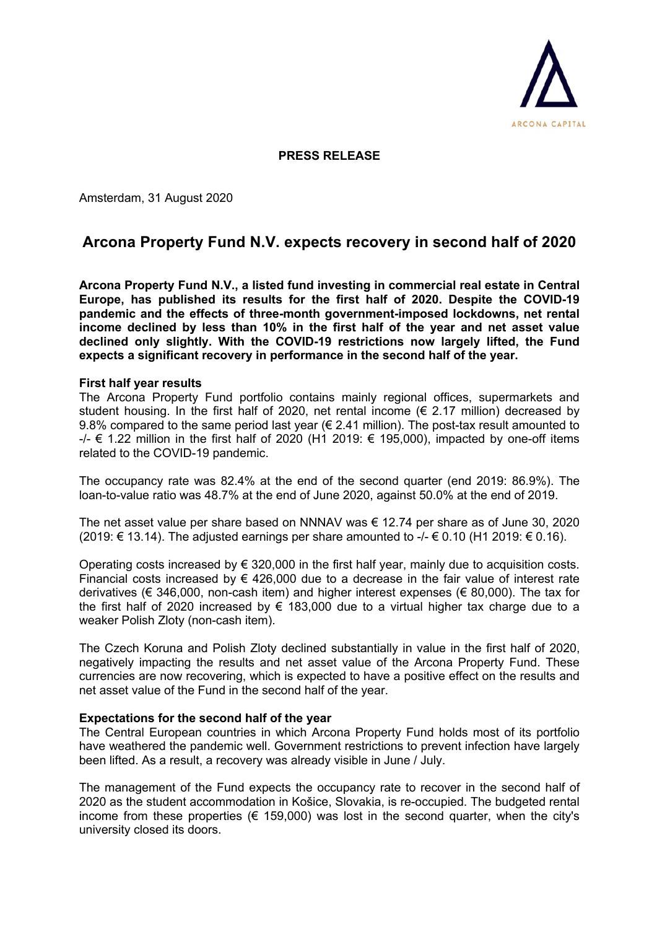

## **PRESS RELEASE**

Amsterdam, 31 August 2020

# **Arcona Property Fund N.V. expects recovery in second half of 2020**

**Arcona Property Fund N.V., a listed fund investing in commercial real estate in Central Europe, has published its results for the first half of 2020. Despite the COVID-19 pandemic and the effects of three-month government-imposed lockdowns, net rental income declined by less than 10% in the first half of the year and net asset value declined only slightly. With the COVID-19 restrictions now largely lifted, the Fund expects a significant recovery in performance in the second half of the year.**

#### **First half year results**

The Arcona Property Fund portfolio contains mainly regional offices, supermarkets and student housing. In the first half of 2020, net rental income  $(\epsilon$  2.17 million) decreased by 9.8% compared to the same period last year ( $\epsilon$  2.41 million). The post-tax result amounted to  $-/-$  € 1.22 million in the first half of 2020 (H1 2019: € 195,000), impacted by one-off items related to the COVID-19 pandemic.

The occupancy rate was 82.4% at the end of the second quarter (end 2019: 86.9%). The loan-to-value ratio was 48.7% at the end of June 2020, against 50.0% at the end of 2019.

The net asset value per share based on NNNAV was  $\epsilon$  12.74 per share as of June 30, 2020 (2019: € 13.14). The adjusted earnings per share amounted to -/- € 0.10 (H1 2019: € 0.16).

Operating costs increased by  $\epsilon$  320,000 in the first half year, mainly due to acquisition costs. Financial costs increased by  $\epsilon$  426,000 due to a decrease in the fair value of interest rate derivatives ( $\epsilon$  346,000, non-cash item) and higher interest expenses ( $\epsilon$  80,000). The tax for the first half of 2020 increased by  $\epsilon$  183,000 due to a virtual higher tax charge due to a weaker Polish Zloty (non-cash item).

The Czech Koruna and Polish Zloty declined substantially in value in the first half of 2020, negatively impacting the results and net asset value of the Arcona Property Fund. These currencies are now recovering, which is expected to have a positive effect on the results and net asset value of the Fund in the second half of the year.

### **Expectations for the second half of the year**

The Central European countries in which Arcona Property Fund holds most of its portfolio have weathered the pandemic well. Government restrictions to prevent infection have largely been lifted. As a result, a recovery was already visible in June / July.

The management of the Fund expects the occupancy rate to recover in the second half of 2020 as the student accommodation in Košice, Slovakia, is re-occupied. The budgeted rental income from these properties ( $\epsilon$  159,000) was lost in the second quarter, when the city's university closed its doors.